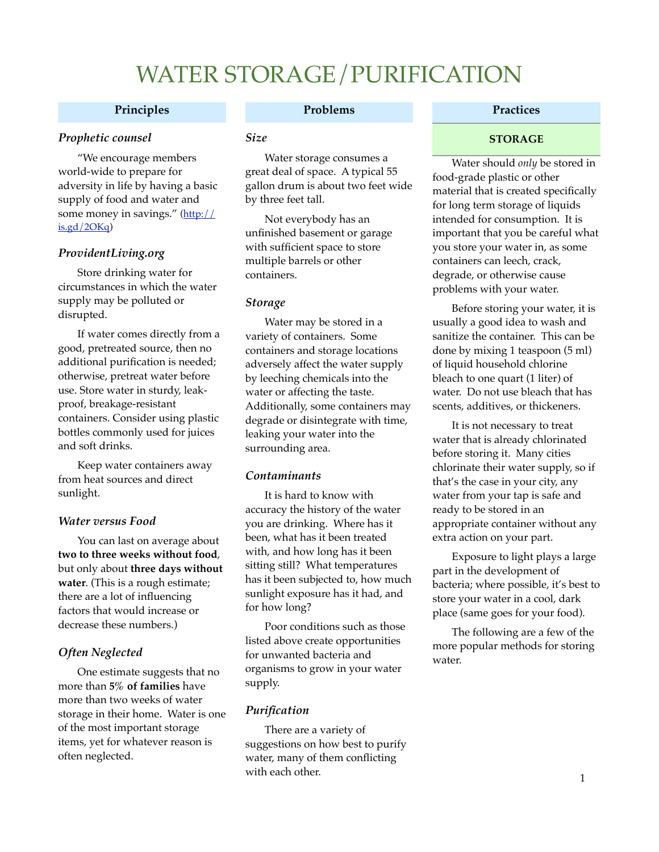## **Principles**

## *Prophetic counsel*

"We encourage members world-wide to prepare for adversity in life by having a basic supply of food and water and some money in savings." [\(http://](http://is.gd/2OKq)  $is.gd/2OKq)$ 

## *ProvidentLiving.org*

Store drinking water for circumstances in which the water supply may be polluted or disrupted.

If water comes directly from a good, pretreated source, then no additional purification is needed; otherwise, pretreat water before use. Store water in sturdy, leakproof, breakage-resistant containers. Consider using plastic bottles commonly used for juices and soft drinks.

Keep water containers away from heat sources and direct sunlight.

### *Water versus Food*

You can last on average about **two to three weeks without food**, but only about **three days without water**. (This is a rough estimate; there are a lot of influencing factors that would increase or decrease these numbers.)

## *Often Neglected*

One estimate suggests that no more than **5% of families** have more than two weeks of water storage in their home. Water is one of the most important storage items, yet for whatever reason is often neglected.

### **Problems**

### *Size*

Water storage consumes a great deal of space. A typical 55 gallon drum is about two feet wide by three feet tall.

Not everybody has an unfinished basement or garage with sufficient space to store multiple barrels or other containers.

### *Storage*

Water may be stored in a variety of containers. Some containers and storage locations adversely affect the water supply by leeching chemicals into the water or affecting the taste. Additionally, some containers may degrade or disintegrate with time, leaking your water into the surrounding area.

### *Contaminants*

It is hard to know with accuracy the history of the water you are drinking. Where has it been, what has it been treated with, and how long has it been sitting still? What temperatures has it been subjected to, how much sunlight exposure has it had, and for how long?

Poor conditions such as those listed above create opportunities for unwanted bacteria and organisms to grow in your water supply.

## *Purification*

There are a variety of suggestions on how best to purify water, many of them conflicting with each other.

## **Practices**

## **STORAGE**

Water should *only* be stored in food-grade plastic or other material that is created specifically for long term storage of liquids intended for consumption. It is important that you be careful what you store your water in, as some containers can leech, crack, degrade, or otherwise cause problems with your water.

Before storing your water, it is usually a good idea to wash and sanitize the container. This can be done by mixing 1 teaspoon (5 ml) of liquid household chlorine bleach to one quart (1 liter) of water. Do not use bleach that has scents, additives, or thickeners.

It is not necessary to treat water that is already chlorinated before storing it. Many cities chlorinate their water supply, so if that's the case in your city, any water from your tap is safe and ready to be stored in an appropriate container without any extra action on your part.

Exposure to light plays a large part in the development of bacteria; where possible, it's best to store your water in a cool, dark place (same goes for your food).

The following are a few of the more popular methods for storing water.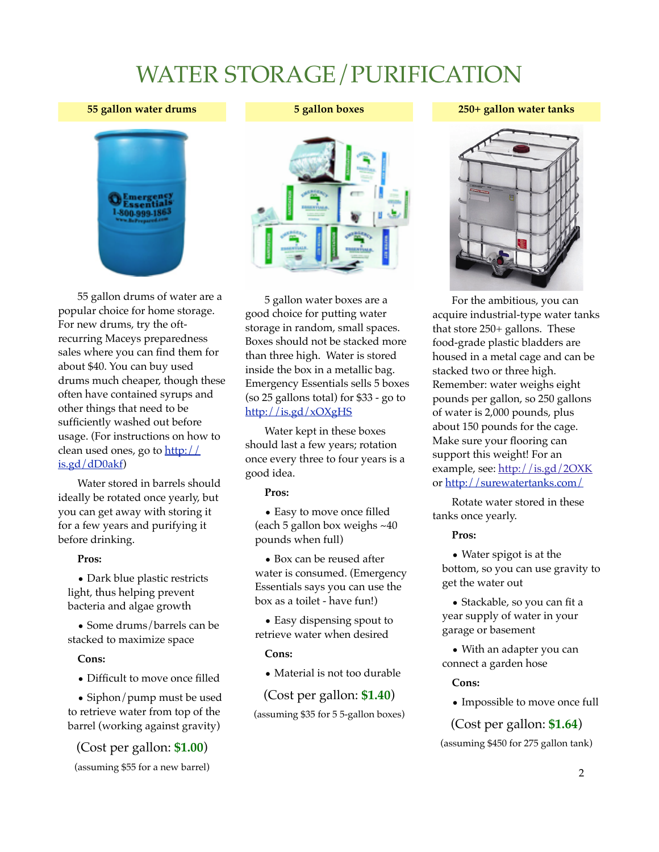#### **55 gallon water drums**



55 gallon drums of water are a popular choice for home storage. For new drums, try the oftrecurring Maceys preparedness sales where you can find them for about \$40. You can buy used drums much cheaper, though these often have contained syrups and other things that need to be sufficiently washed out before usage. (For instructions on how to clean used ones, go to [http://](http://is.gd/dD0akf) [is.gd/dD0akf\)](http://is.gd/dD0akf)

Water stored in barrels should ideally be rotated once yearly, but you can get away with storing it for a few years and purifying it before drinking.

#### **Pros:**

• Dark blue plastic restricts light, thus helping prevent bacteria and algae growth

• Some drums/barrels can be stacked to maximize space

### **Cons:**

• Difficult to move once filled

• Siphon/pump must be used to retrieve water from top of the barrel (working against gravity)

(Cost per gallon: **\$1.00**)

(assuming \$55 for a new barrel)

#### **5 gallon boxes**

**250+ gallon water tanks**



5 gallon water boxes are a good choice for putting water storage in random, small spaces. Boxes should not be stacked more than three high. Water is stored inside the box in a metallic bag. Emergency Essentials sells 5 boxes (so 25 gallons total) for \$33 - go to <http://is.gd/xOXgHS>

Water kept in these boxes should last a few years; rotation once every three to four years is a good idea.

#### **Pros:**

• Easy to move once filled (each 5 gallon box weighs ~40 pounds when full)

• Box can be reused after water is consumed. (Emergency Essentials says you can use the box as a toilet - have fun!)

• Easy dispensing spout to retrieve water when desired

### **Cons:**

• Material is not too durable

(Cost per gallon: **\$1.40**) (assuming \$35 for 5 5-gallon boxes)

For the ambitious, you can acquire industrial-type water tanks that store 250+ gallons. These food-grade plastic bladders are housed in a metal cage and can be stacked two or three high. Remember: water weighs eight pounds per gallon, so 250 gallons of water is 2,000 pounds, plus about 150 pounds for the cage. Make sure your flooring can support this weight! For an example, see: <http://is.gd/2OXK> or [http://surewatertanks.com/](http://www.surewatertanks.com/)

Rotate water stored in these tanks once yearly.

### **Pros:**

• Water spigot is at the bottom, so you can use gravity to get the water out

• Stackable, so you can fit a year supply of water in your garage or basement

• With an adapter you can connect a garden hose

### **Cons:**

• Impossible to move once full

## (Cost per gallon: **\$1.64**)

(assuming \$450 for 275 gallon tank)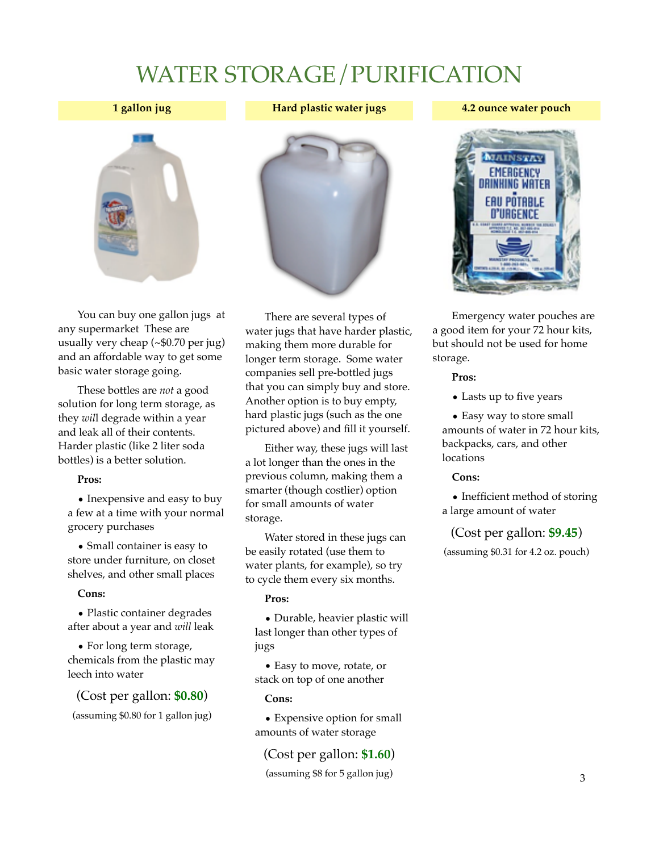### **1 gallon jug**



### **4.2 ounce water pouch**



You can buy one gallon jugs at any supermarket These are usually very cheap (~\$0.70 per jug) and an affordable way to get some basic water storage going.

These bottles are *not* a good solution for long term storage, as they *wil*l degrade within a year and leak all of their contents. Harder plastic (like 2 liter soda bottles) is a better solution.

### **Pros:**

• Inexpensive and easy to buy a few at a time with your normal grocery purchases

• Small container is easy to store under furniture, on closet shelves, and other small places

### **Cons:**

• Plastic container degrades after about a year and *will* leak

• For long term storage, chemicals from the plastic may leech into water

(Cost per gallon: **\$0.80**)

(assuming \$0.80 for 1 gallon jug)



There are several types of water jugs that have harder plastic, making them more durable for longer term storage. Some water companies sell pre-bottled jugs that you can simply buy and store. Another option is to buy empty, hard plastic jugs (such as the one pictured above) and fill it yourself.

Either way, these jugs will last a lot longer than the ones in the previous column, making them a smarter (though costlier) option for small amounts of water storage.

Water stored in these jugs can be easily rotated (use them to water plants, for example), so try to cycle them every six months.

## **Pros:**

• Durable, heavier plastic will last longer than other types of jugs

• Easy to move, rotate, or stack on top of one another

### **Cons:**

• Expensive option for small amounts of water storage

## (Cost per gallon: **\$1.60**)

(assuming \$8 for 5 gallon jug)



Emergency water pouches are a good item for your 72 hour kits, but should not be used for home storage.

### **Pros:**

• Lasts up to five years

• Easy way to store small amounts of water in 72 hour kits, backpacks, cars, and other locations

### **Cons:**

• Inefficient method of storing a large amount of water

## (Cost per gallon: **\$9.45**)

(assuming \$0.31 for 4.2 oz. pouch)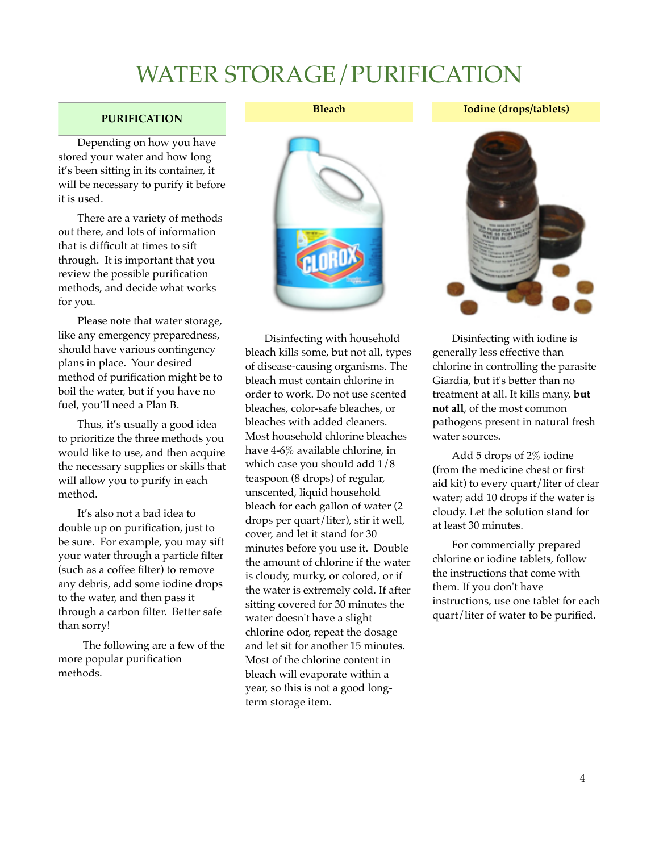## **PURIFICATION**

Depending on how you have stored your water and how long it's been sitting in its container, it will be necessary to purify it before it is used.

There are a variety of methods out there, and lots of information that is difficult at times to sift through. It is important that you review the possible purification methods, and decide what works for you.

Please note that water storage, like any emergency preparedness, should have various contingency plans in place. Your desired method of purification might be to boil the water, but if you have no fuel, you'll need a Plan B.

Thus, it's usually a good idea to prioritize the three methods you would like to use, and then acquire the necessary supplies or skills that will allow you to purify in each method.

It's also not a bad idea to double up on purification, just to be sure. For example, you may sift your water through a particle filter (such as a coffee filter) to remove any debris, add some iodine drops to the water, and then pass it through a carbon filter. Better safe than sorry!

 The following are a few of the more popular purification methods.

**Bleach**

## **Iodine (drops/tablets)**



Disinfecting with household bleach kills some, but not all, types of disease-causing organisms. The bleach must contain chlorine in order to work. Do not use scented bleaches, color-safe bleaches, or bleaches with added cleaners. Most household chlorine bleaches have 4-6% available chlorine, in which case you should add 1/8 teaspoon (8 drops) of regular, unscented, liquid household bleach for each gallon of water (2 drops per quart/liter), stir it well, cover, and let it stand for 30 minutes before you use it. Double the amount of chlorine if the water is cloudy, murky, or colored, or if the water is extremely cold. If after sitting covered for 30 minutes the water doesn't have a slight chlorine odor, repeat the dosage and let sit for another 15 minutes. Most of the chlorine content in bleach will evaporate within a year, so this is not a good longterm storage item.



Disinfecting with iodine is generally less effective than chlorine in controlling the parasite Giardia, but it's better than no treatment at all. It kills many, **but not all**, of the most common pathogens present in natural fresh water sources.

Add 5 drops of 2% iodine (from the medicine chest or first aid kit) to every quart/liter of clear water; add 10 drops if the water is cloudy. Let the solution stand for at least 30 minutes.

For commercially prepared chlorine or iodine tablets, follow the instructions that come with them. If you don't have instructions, use one tablet for each quart/liter of water to be purified.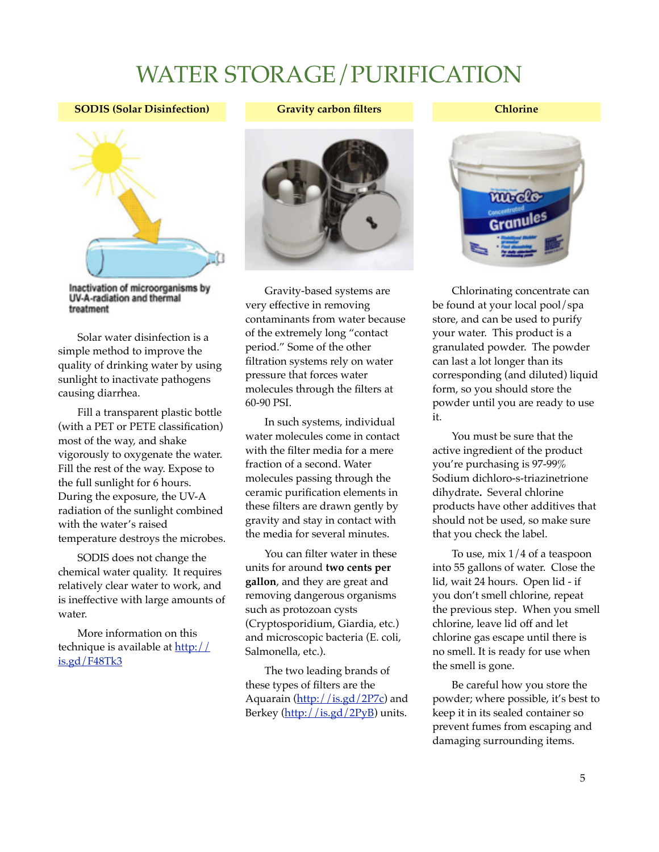**SODIS (Solar Disinfection)**



## **Chlorine**



Inactivation of microorganisms by UV-A-radiation and thermal treatment

Solar water disinfection is a simple method to improve the quality of drinking water by using sunlight to inactivate pathogens causing diarrhea.

Fill a transparent plastic bottle (with a PET or PETE classification) most of the way, and shake vigorously to oxygenate the water. Fill the rest of the way. Expose to the full sunlight for 6 hours. During the exposure, the UV-A radiation of the sunlight combined with the water's raised temperature destroys the microbes.

SODIS does not change the chemical water quality. It requires relatively clear water to work, and is ineffective with large amounts of water.

More information on this technique is available at [http://](http://is.gd/F48Tk3) [is.gd/F48Tk3](http://is.gd/F48Tk3)



Gravity-based systems are very effective in removing contaminants from water because of the extremely long "contact period." Some of the other filtration systems rely on water pressure that forces water molecules through the filters at 60-90 PSI.

In such systems, individual water molecules come in contact with the filter media for a mere fraction of a second. Water molecules passing through the ceramic purification elements in these filters are drawn gently by gravity and stay in contact with the media for several minutes.

You can filter water in these units for around **two cents per gallon**, and they are great and removing dangerous organisms such as protozoan cysts (Cryptosporidium, Giardia, etc.) and microscopic bacteria (E. coli, Salmonella, etc.).

The two leading brands of these types of filters are the Aquarain [\(http://is.gd/2P7c\)](http://is.gd/2P7c) and Berkey [\(http://is.gd/2PyB\)](http://is.gd/2PyB) units.



Chlorinating concentrate can be found at your local pool/spa store, and can be used to purify your water. This product is a granulated powder. The powder can last a lot longer than its corresponding (and diluted) liquid form, so you should store the powder until you are ready to use it.

You must be sure that the active ingredient of the product you're purchasing is 97-99% Sodium dichloro-s-triazinetrione dihydrate**.** Several chlorine products have other additives that should not be used, so make sure that you check the label.

To use, mix 1/4 of a teaspoon into 55 gallons of water. Close the lid, wait 24 hours. Open lid - if you don't smell chlorine, repeat the previous step. When you smell chlorine, leave lid off and let chlorine gas escape until there is no smell. It is ready for use when the smell is gone.

Be careful how you store the powder; where possible, it's best to keep it in its sealed container so prevent fumes from escaping and damaging surrounding items.